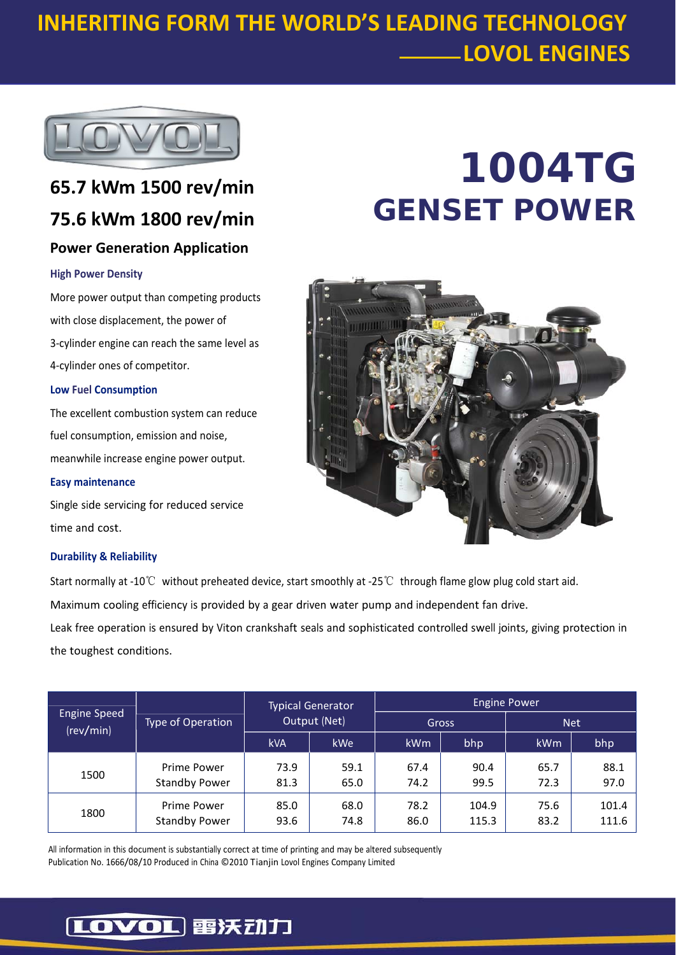### **INHERITING FORM THE WORLD'S LEADING TECHNOLOGY LOVOL ENGINES**



### **65.7 kWm 1500 rev/min 75.6 kWm 1800 rev/min Power Generation Application**

#### **High Power Density**

More power output than competing products with close displacement, the power of 3‐cylinder engine can reach the same level as 4‐cylinder ones of competitor.

#### **Low Fuel Consumption**

The excellent combustion system can reduce fuel consumption, emission and noise, meanwhile increase engine power output.

#### **Easy maintenance**

Single side servicing for reduced service time and cost.

#### **Durability & Reliability**

## Start normally at ‐10℃ without preheated device, start smoothly at ‐25℃ through flame glow plug cold start aid. Maximum cooling efficiency is provided by a gear driven water pump and independent fan drive.

Leak free operation is ensured by Viton crankshaft seals and sophisticated controlled swell joints, giving protection in the toughest conditions.

| <b>Engine Speed</b><br>(rev/min) | Type of Operation                   | <b>Typical Generator</b><br>Output (Net) |              | <b>Engine Power</b> |                |              |                |
|----------------------------------|-------------------------------------|------------------------------------------|--------------|---------------------|----------------|--------------|----------------|
|                                  |                                     |                                          |              | Gross               |                | <b>Net</b>   |                |
|                                  |                                     | <b>kVA</b>                               | kWe          | <b>kWm</b>          | bhp            | kWm          | bhp            |
| 1500                             | Prime Power<br><b>Standby Power</b> | 73.9<br>81.3                             | 59.1<br>65.0 | 67.4<br>74.2        | 90.4<br>99.5   | 65.7<br>72.3 | 88.1<br>97.0   |
| 1800                             | Prime Power<br><b>Standby Power</b> | 85.0<br>93.6                             | 68.0<br>74.8 | 78.2<br>86.0        | 104.9<br>115.3 | 75.6<br>83.2 | 101.4<br>111.6 |

All information in this document is substantially correct at time of printing and may be altered subsequently Publication No. 1666/08/10 Produced in China ©2010 Tianjin Lovol Engines Company Limited

# **1004TG GENSET POWER**



### [LOVOL] 雷沃动力